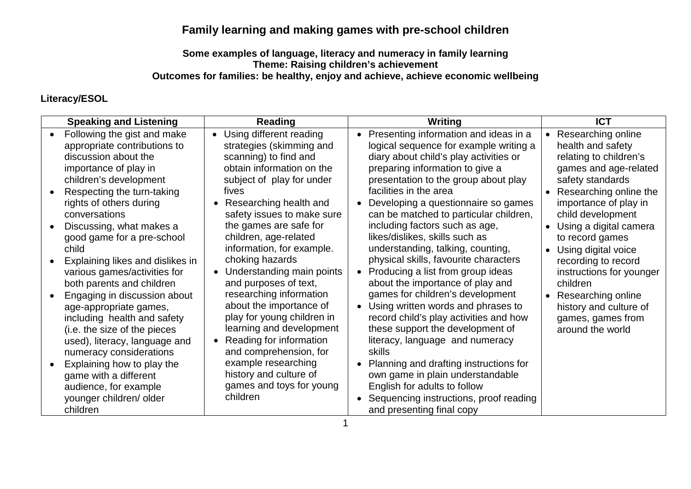## **Family learning and making games with pre-school children**

## **Some examples of language, literacy and numeracy in family learning Theme: Raising children's achievement Outcomes for families: be healthy, enjoy and achieve, achieve economic wellbeing**

## **Literacy/ESOL**

| <b>Speaking and Listening</b>                                                                                                                                                                                                                                                                                                                                                                                                                                                                                                                                                                                                                                                                    | <b>Reading</b>                                                                                                                                                                                                                                                                                                                                                                                                                                                                                                                                                                                                                         | Writing                                                                                                                                                                                                                                                                                                                                                                                                                                                                                                                                                                                                                                                                                                                                                                                                                                                                                                                              | <b>ICT</b>                                                                                                                                                                                                                                                                                                                                                                                                                        |
|--------------------------------------------------------------------------------------------------------------------------------------------------------------------------------------------------------------------------------------------------------------------------------------------------------------------------------------------------------------------------------------------------------------------------------------------------------------------------------------------------------------------------------------------------------------------------------------------------------------------------------------------------------------------------------------------------|----------------------------------------------------------------------------------------------------------------------------------------------------------------------------------------------------------------------------------------------------------------------------------------------------------------------------------------------------------------------------------------------------------------------------------------------------------------------------------------------------------------------------------------------------------------------------------------------------------------------------------------|--------------------------------------------------------------------------------------------------------------------------------------------------------------------------------------------------------------------------------------------------------------------------------------------------------------------------------------------------------------------------------------------------------------------------------------------------------------------------------------------------------------------------------------------------------------------------------------------------------------------------------------------------------------------------------------------------------------------------------------------------------------------------------------------------------------------------------------------------------------------------------------------------------------------------------------|-----------------------------------------------------------------------------------------------------------------------------------------------------------------------------------------------------------------------------------------------------------------------------------------------------------------------------------------------------------------------------------------------------------------------------------|
| Following the gist and make<br>appropriate contributions to<br>discussion about the<br>importance of play in<br>children's development<br>Respecting the turn-taking<br>rights of others during<br>conversations<br>Discussing, what makes a<br>good game for a pre-school<br>child<br>Explaining likes and dislikes in<br>various games/activities for<br>both parents and children<br>Engaging in discussion about<br>age-appropriate games,<br>including health and safety<br>(i.e. the size of the pieces<br>used), literacy, language and<br>numeracy considerations<br>Explaining how to play the<br>game with a different<br>audience, for example<br>younger children/ older<br>children | • Using different reading<br>strategies (skimming and<br>scanning) to find and<br>obtain information on the<br>subject of play for under<br>fives<br>• Researching health and<br>safety issues to make sure<br>the games are safe for<br>children, age-related<br>information, for example.<br>choking hazards<br>• Understanding main points<br>and purposes of text,<br>researching information<br>about the importance of<br>play for young children in<br>learning and development<br>• Reading for information<br>and comprehension, for<br>example researching<br>history and culture of<br>games and toys for young<br>children | Presenting information and ideas in a<br>logical sequence for example writing a<br>diary about child's play activities or<br>preparing information to give a<br>presentation to the group about play<br>facilities in the area<br>Developing a questionnaire so games<br>can be matched to particular children,<br>including factors such as age,<br>likes/dislikes, skills such as<br>understanding, talking, counting,<br>physical skills, favourite characters<br>Producing a list from group ideas<br>about the importance of play and<br>games for children's development<br>Using written words and phrases to<br>record child's play activities and how<br>these support the development of<br>literacy, language and numeracy<br>skills<br>Planning and drafting instructions for<br>own game in plain understandable<br>English for adults to follow<br>Sequencing instructions, proof reading<br>and presenting final copy | • Researching online<br>health and safety<br>relating to children's<br>games and age-related<br>safety standards<br>Researching online the<br>importance of play in<br>child development<br>Using a digital camera<br>$\bullet$<br>to record games<br>Using digital voice<br>recording to record<br>instructions for younger<br>children<br>Researching online<br>history and culture of<br>games, games from<br>around the world |